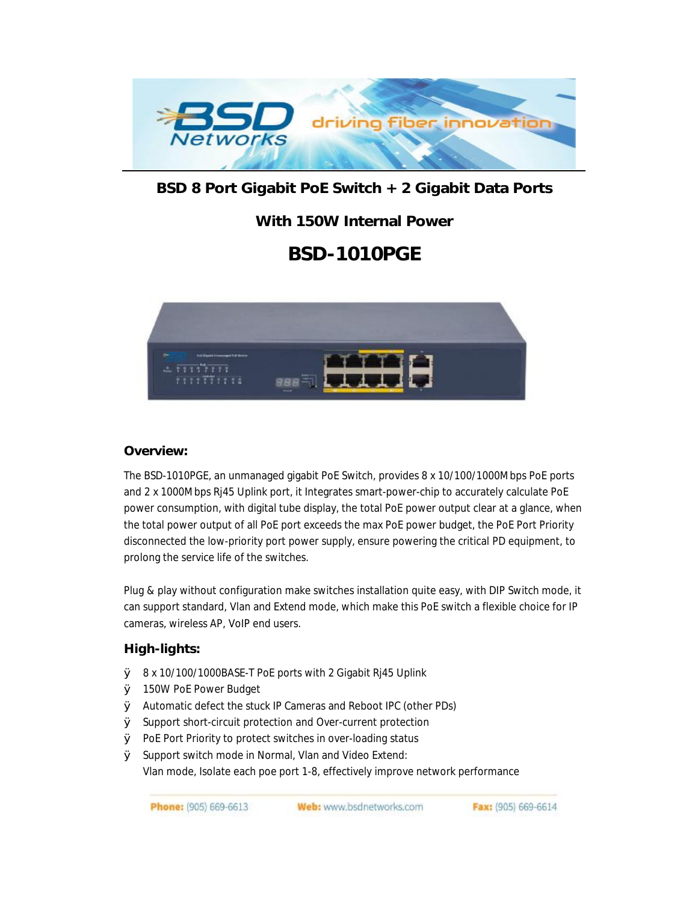

## **BSD 8 Port Gigabit PoE Switch + 2 Gigabit Data Ports**

# **With 150W Internal Power**

# **BSD-1010PGE**



#### **Overview:**

The BSD-1010PGE, an unmanaged gigabit PoE Switch, provides 8 x 10/100/1000Mbps PoE ports and 2 x 1000Mbps Rj45 Uplink port, it Integrates smart-power-chip to accurately calculate PoE power consumption, with digital tube display, the total PoE power output clear at a glance, when the total power output of all PoE port exceeds the max PoE power budget, the PoE Port Priority disconnected the low-priority port power supply, ensure powering the critical PD equipment, to prolong the service life of the switches.

Plug & play without configuration make switches installation quite easy, with DIP Switch mode, it can support standard, Vlan and Extend mode, which make this PoE switch a flexible choice for IP cameras, wireless AP, VoIP end users.

#### **High-lights:**

- Ø 8 x 10/100/1000BASE-T PoE ports with 2 Gigabit Rj45 Uplink
- Ø 150W PoE Power Budget
- Ø Automatic defect the stuck IP Cameras and Reboot IPC (other PDs)
- Ø Support short-circuit protection and Over-current protection
- Ø PoE Port Priority to protect switches in over-loading status
- Ø Support switch mode in Normal, Vlan and Video Extend: Vlan mode, Isolate each poe port 1-8, effectively improve network performance

Web: www.bsdnetworks.com